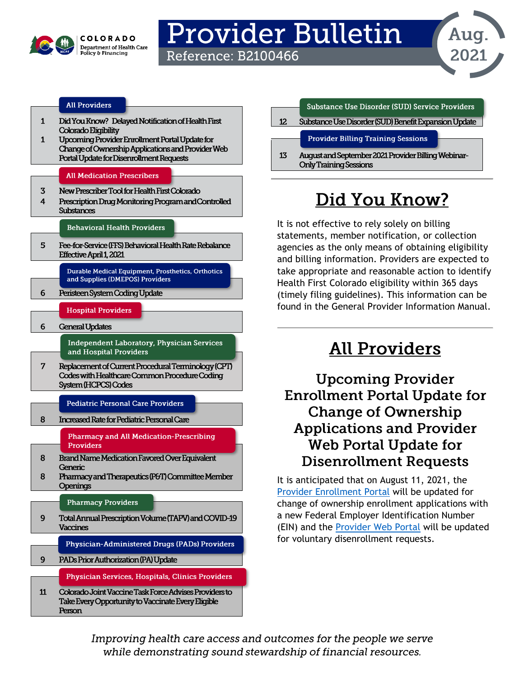

## Provider Bulletin Reference: B2100466



### **All Providers**

- $\mathbf{1}$ Did You Know? Delayed Notification of Health First Colorado Eligibility
- Upcoming Provider Enrollment Portal Update for  $\mathbf{1}$ Change of Ownership Applications and Provider Web Portal Update for Disenrollment Requests

#### **All Medication Prescribers**

- New Prescriber Tool for Health First Colorado  $\overline{\mathbf{3}}$
- $\boldsymbol{\Lambda}$ Prescription Drug Monitoring Program and Controlled **Substances**

#### **Behavioral Health Providers**

5 Fee-for-Service (FFS) Behavioral Health Rate Rebalance Effective April 1, 2021

> Durable Medical Equipment, Prosthetics, Orthotics and Supplies (DMEPOS) Providers

- 6 Peristeen System Coding Update
	- **Hospital Providers**
	- **General Updates**

6

**Independent Laboratory, Physician Services** and Hospital Providers

Replacement of Current Procedural Terminology (CPT)  $\overline{7}$ Codes with Healthcare Common Procedure Coding System (HCPCS) Codes

**Pediatric Personal Care Providers** 

- 8 Increased Rate for Pediatric Personal Care
	- **Pharmacy and All Medication-Prescribing Providers**
- **Brand Name Medication Favored Over Equivalent** 8 Generic
- Pharmacy and Therapeutics (P&T) Committee Member 8 **Openings**

#### **Pharmacy Providers**

- $9$ Total Annual Prescription Volume (TAPV) and COVID-19 Vaccines
	- Physician-Administered Drugs (PADs) Providers
- $9<sup>°</sup>$ PADs Prior Authorization (PA) Update

Physician Services, Hospitals, Clinics Providers

 $11$ Colorado Joint Vaccine Task Force Advises Providers to Take Every Opportunity to Vaccinate Every Eligible Person

### Substance Use Disorder (SUD) Service Providers

 $12<sub>2</sub>$ Substance Use Disorder (SUD) Benefit Expansion Update

### **Provider Billing Training Sessions**

13 August and September 2021 Provider Billing Webinar-**Only Training Sessions** 

# Did You Know?

It is not effective to rely solely on billing statements, member notification, or collection agencies as the only means of obtaining eligibility and billing information. Providers are expected to take appropriate and reasonable action to identify Health First Colorado eligibility within 365 days (timely filing guidelines). This information can be found in the [General Provider Information Manual.](https://hcpf.colorado.gov/gen-info-manual#delNotHFC)

## **All Providers**

**Upcoming Provider Enrollment Portal Update for Change of Ownership Applications and Provider Web Portal Update for Disenrollment Requests** 

It is anticipated that on August 11, 2021, the [Provider Enrollment Portal](https://colorado-hcp-portal.xco.dcs-usps.com/hcp/provider/Home/ProviderEnrollment/tabid/477/Default.aspx) will be updated for change of ownership enrollment applications with a new Federal Employer Identification Number (EIN) and the [Provider Web Portal](https://colorado-hcp-portal.xco.dcs-usps.com/hcp/provider/Home/tabid/135/Default.aspx) will be updated for voluntary disenrollment requests.

Improving health care access and outcomes for the people we serve while demonstrating sound stewardship of financial resources.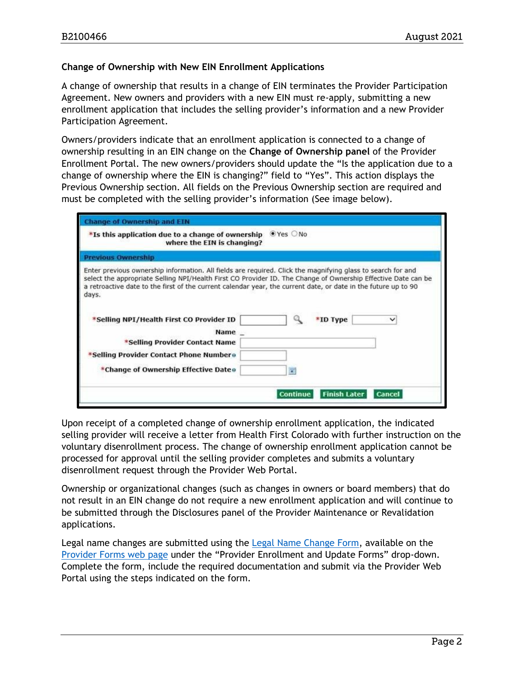#### **Change of Ownership with New EIN Enrollment Applications**

A change of ownership that results in a change of EIN terminates the Provider Participation Agreement. New owners and providers with a new EIN must re-apply, submitting a new enrollment application that includes the selling provider's information and a new Provider Participation Agreement.

Owners/providers indicate that an enrollment application is connected to a change of ownership resulting in an EIN change on the **Change of Ownership panel** of the Provider Enrollment Portal. The new owners/providers should update the "Is the application due to a change of ownership where the EIN is changing?" field to "Yes". This action displays the Previous Ownership section. All fields on the Previous Ownership section are required and must be completed with the selling provider's information (See image below).

| <b>Change of Ownership and EIN</b>                                                                                                                                                                                                     |                                                                                                               |
|----------------------------------------------------------------------------------------------------------------------------------------------------------------------------------------------------------------------------------------|---------------------------------------------------------------------------------------------------------------|
| *Is this application due to a change of ownership<br>where the EIN is changing?                                                                                                                                                        | $\bullet$ Yes $\circ$ No                                                                                      |
| <b>Previous Ownership</b>                                                                                                                                                                                                              |                                                                                                               |
| Enter previous ownership information. All fields are required. Click the magnifying glass to search for and<br>a retroactive date to the first of the current calendar year, the current date, or date in the future up to 90<br>days. | select the appropriate Selling NPI/Health First CO Provider ID. The Change of Ownership Effective Date can be |
| *Selling NPI/Health First CO Provider ID<br>Name _                                                                                                                                                                                     | Q<br>*ID Type<br>◡                                                                                            |
| *Selling Provider Contact Name                                                                                                                                                                                                         |                                                                                                               |
| *Selling Provider Contact Phone Numbero                                                                                                                                                                                                |                                                                                                               |
| *Change of Ownership Effective Date o                                                                                                                                                                                                  | 單                                                                                                             |
|                                                                                                                                                                                                                                        | <b>Finish Later</b><br><b>Continue</b><br><b>Cancel</b>                                                       |

Upon receipt of a completed change of ownership enrollment application, the indicated selling provider will receive a letter from Health First Colorado with further instruction on the voluntary disenrollment process. The change of ownership enrollment application cannot be processed for approval until the selling provider completes and submits a voluntary disenrollment request through the Provider Web Portal.

Ownership or organizational changes (such as changes in owners or board members) that do not result in an EIN change do not require a new enrollment application and will continue to be submitted through the Disclosures panel of the Provider Maintenance or Revalidation applications.

Legal name changes are submitted using the [Legal Name Change Form,](https://hcpf.colorado.gov/sites/hcpf/files/Legal%20Name%20Change%20Form_MS.pdf) available on the [Provider Forms web page](https://hcpf.colorado.gov/provider-forms) under the "Provider Enrollment and Update Forms" drop-down. Complete the form, include the required documentation and submit via the Provider Web Portal using the steps indicated on the form.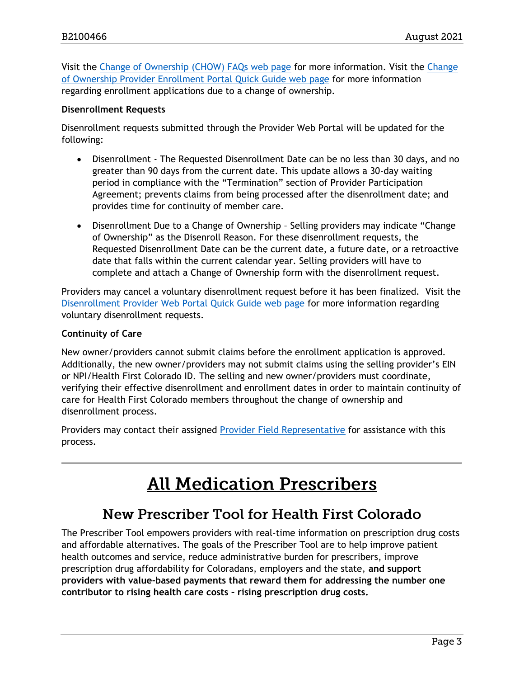Visit the [Change of Ownership \(CHOW\) FAQs web page](https://hcpf.colorado.gov/faq-central#chow) for more information. Visit the [Change](https://hcpf.colorado.gov/change-ownership-app)  [of Ownership Provider Enrollment Portal Quick Guide web page](https://hcpf.colorado.gov/change-ownership-app) for more information regarding enrollment applications due to a change of ownership.

#### **Disenrollment Requests**

Disenrollment requests submitted through the Provider Web Portal will be updated for the following:

- Disenrollment The Requested Disenrollment Date can be no less than 30 days, and no greater than 90 days from the current date. This update allows a 30-day waiting period in compliance with the "Termination" section of Provider Participation Agreement; prevents claims from being processed after the disenrollment date; and provides time for continuity of member care.
- Disenrollment Due to a Change of Ownership Selling providers may indicate "Change of Ownership" as the Disenroll Reason. For these disenrollment requests, the Requested Disenrollment Date can be the current date, a future date, or a retroactive date that falls within the current calendar year. Selling providers will have to complete and attach a Change of Ownership form with the disenrollment request.

Providers may cancel a voluntary disenrollment request before it has been finalized. Visit the [Disenrollment Provider Web Portal Quick Guide web page](https://hcpf.colorado.gov/disenrollment-quick-guide) for more information regarding voluntary disenrollment requests.

#### **Continuity of Care**

New owner/providers cannot submit claims before the enrollment application is approved. Additionally, the new owner/providers may not submit claims using the selling provider's EIN or NPI/Health First Colorado ID. The selling and new owner/providers must coordinate, verifying their effective disenrollment and enrollment dates in order to maintain continuity of care for Health First Colorado members throughout the change of ownership and disenrollment process.

Providers may contact their assigned [Provider Field Representative](https://hcpf.colorado.gov/regional-provider-support) for assistance with this process.

## **All Medication Prescribers**

## New Prescriber Tool for Health First Colorado

The Prescriber Tool empowers providers with real-time information on prescription drug costs and affordable alternatives. The goals of the Prescriber Tool are to help improve patient health outcomes and service, reduce administrative burden for prescribers, improve prescription drug affordability for Coloradans, employers and the state, **and support providers with value-based payments that reward them for addressing the number one contributor to rising health care costs – rising prescription drug costs.**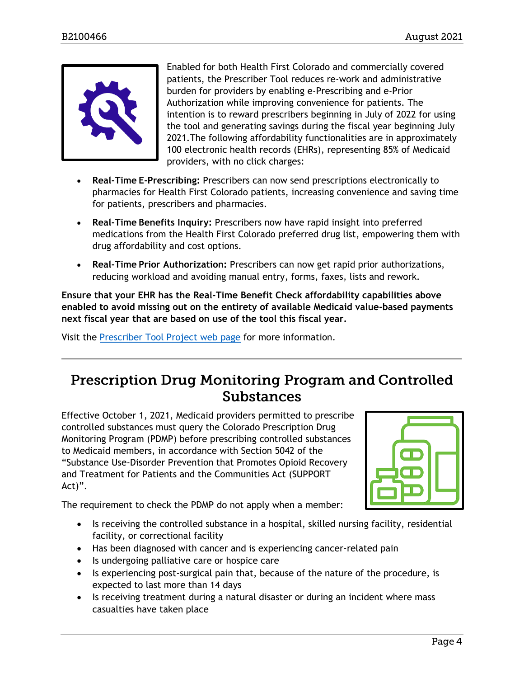

Enabled for both Health First Colorado and commercially covered patients, the Prescriber Tool reduces re-work and administrative burden for providers by enabling e-Prescribing and e-Prior Authorization while improving convenience for patients. The intention is to reward prescribers beginning in July of 2022 for using the tool and generating savings during the fiscal year beginning July 2021.The following affordability functionalities are in approximately 100 electronic health records (EHRs), representing 85% of Medicaid providers, with no click charges:

- **Real-Time E-Prescribing:** Prescribers can now send prescriptions electronically to pharmacies for Health First Colorado patients, increasing convenience and saving time for patients, prescribers and pharmacies.
- **Real-Time Benefits Inquiry:** Prescribers now have rapid insight into preferred medications from the Health First Colorado preferred drug list, empowering them with drug affordability and cost options.
- **Real-Time Prior Authorization:** Prescribers can now get rapid prior authorizations, reducing workload and avoiding manual entry, forms, faxes, lists and rework.

**Ensure that your EHR has the Real-Time Benefit Check affordability capabilities above enabled to avoid missing out on the entirety of available Medicaid value-based payments next fiscal year that are based on use of the tool this fiscal year.**

Visit the [Prescriber Tool Project web page](https://hcpf.colorado.gov/prescriber-tool-project) for more information.

## **Prescription Drug Monitoring Program and Controlled Substances**

Effective October 1, 2021, Medicaid providers permitted to prescribe controlled substances must query the Colorado Prescription Drug Monitoring Program (PDMP) before prescribing controlled substances to Medicaid members, in accordance with Section 5042 of the "Substance Use-Disorder Prevention that Promotes Opioid Recovery and Treatment for Patients and the Communities Act (SUPPORT Act)".



The requirement to check the PDMP do not apply when a member:

- Is receiving the controlled substance in a hospital, skilled nursing facility, residential facility, or correctional facility
- Has been diagnosed with cancer and is experiencing cancer-related pain
- Is undergoing palliative care or hospice care
- Is experiencing post-surgical pain that, because of the nature of the procedure, is expected to last more than 14 days
- Is receiving treatment during a natural disaster or during an incident where mass casualties have taken place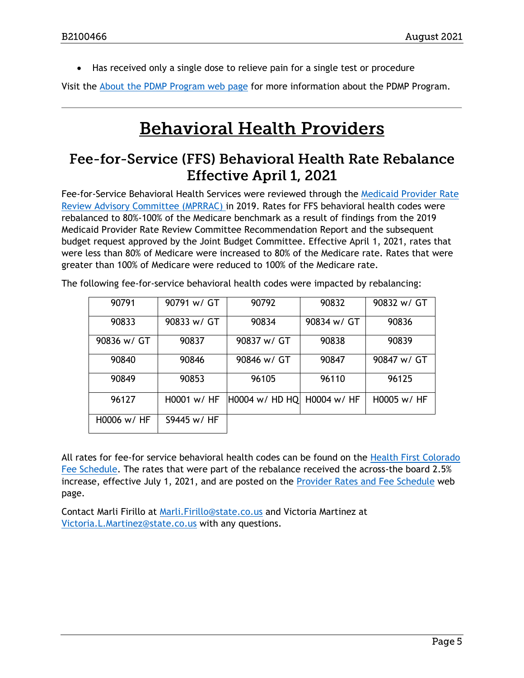• Has received only a single dose to relieve pain for a single test or procedure

Visit the [About the PDMP Program web page](https://dpo.colorado.gov/PDMP) for more information about the PDMP Program.

## **Behavioral Health Providers**

### Fee-for-Service (FFS) Behavioral Health Rate Rebalance **Effective April 1, 2021**

Fee-for-Service Behavioral Health Services were reviewed through the [Medicaid Provider Rate](https://www.colorado.gov/pacific/hcpf/medicaid-provider-rate-review-advisory-committee)  [Review Advisory Committee \(MPRRAC\) i](https://www.colorado.gov/pacific/hcpf/medicaid-provider-rate-review-advisory-committee)n 2019. Rates for FFS behavioral health codes were rebalanced to 80%-100% of the Medicare benchmark as a result of findings from the 2019 Medicaid Provider Rate Review Committee Recommendation Report and the subsequent budget request approved by the Joint Budget Committee. Effective April 1, 2021, rates that were less than 80% of Medicare were increased to 80% of the Medicare rate. Rates that were greater than 100% of Medicare were reduced to 100% of the Medicare rate.

| 90791         | 90791 w/ GT  | 90792          | 90832       | 90832 w/ GT |
|---------------|--------------|----------------|-------------|-------------|
| 90833         | 90833 w/ GT  | 90834          | 90834 w/ GT | 90836       |
| 90836 w/ GT   | 90837        | 90837 w/ GT    | 90838       | 90839       |
| 90840         | 90846        | 90846 w/ GT    | 90847       | 90847 w/ GT |
| 90849         | 90853        | 96105          | 96110       | 96125       |
| 96127         | H0001 w/HF   | H0004 w/ HD HQ | H0004 w/ HF | H0005 w/ HF |
| $H0006$ w/ HF | \$9445 w/ HF |                |             |             |

The following fee-for-service behavioral health codes were impacted by rebalancing:

All rates for fee-for service behavioral health codes can be found on the [Health First Colorado](https://hcpf.colorado.gov/provider-rates-fee-schedule)  [Fee Schedule.](https://hcpf.colorado.gov/provider-rates-fee-schedule) The rates that were part of the rebalance received the across-the board 2.5% increase, effective July 1, 2021, and are posted on the [Provider Rates and Fee Schedule](https://hcpf.colorado.gov/provider-rates-fee-schedule) web page.

Contact Marli Firillo at [Marli.Firillo@state.co.us](mailto:Marli.Firillo@state.co.us) and Victoria Martinez at [Victoria.L.Martinez@state.co.us](mailto:Victoria.L.Martinez@state.co.us) with any questions.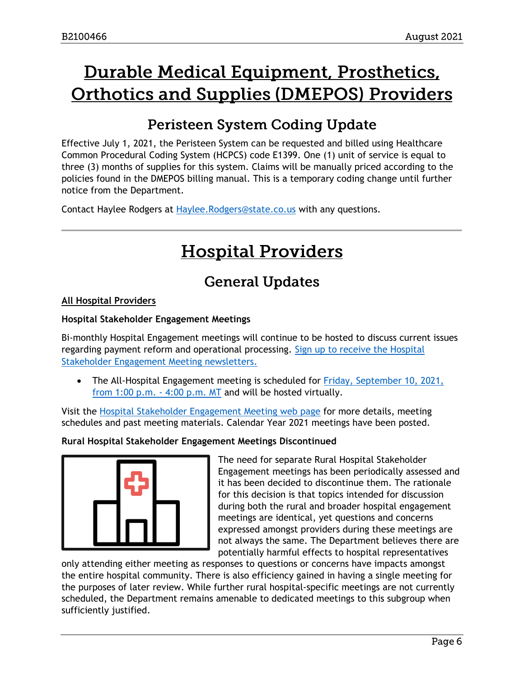# Durable Medical Equipment, Prosthetics, **Orthotics and Supplies (DMEPOS) Providers**

## **Peristeen System Coding Update**

Effective July 1, 2021, the Peristeen System can be requested and billed using Healthcare Common Procedural Coding System (HCPCS) code E1399. One (1) unit of service is equal to three (3) months of supplies for this system. Claims will be manually priced according to the policies found in the DMEPOS billing manual. This is a temporary coding change until further notice from the Department.

Contact Haylee Rodgers at [Haylee.Rodgers@state.co.us](mailto:Haylee.Rodgers@state.co.us) with any questions.

# **Hospital Providers**

## **General Updates**

### **All Hospital Providers**

#### **Hospital Stakeholder Engagement Meetings**

Bi-monthly Hospital Engagement meetings will continue to be hosted to discuss current issues regarding payment reform and operational processing. [Sign up to receive the Hospital](https://visitor.r20.constantcontact.com/manage/optin?v=001HfxrbpGNWZ0lZnPp6t3PG2s9XPNl8ZvgFdjsKvSnhIy8z9JmHyp6DeoLJ3saT6x0SeqRR1ub149uoXxe1ok4jTzfMSQ0BN7S5vcLiRO7gdY%3D)  [Stakeholder Engagement Meeting newsletters.](https://visitor.r20.constantcontact.com/manage/optin?v=001HfxrbpGNWZ0lZnPp6t3PG2s9XPNl8ZvgFdjsKvSnhIy8z9JmHyp6DeoLJ3saT6x0SeqRR1ub149uoXxe1ok4jTzfMSQ0BN7S5vcLiRO7gdY%3D)

• The All-Hospital Engagement meeting is scheduled for Friday, [September 10, 2021,](https://hcpf.colorado.gov/hospital-stakeholder-engagement-meetings)  [from 1:00 p.m. -](https://hcpf.colorado.gov/hospital-stakeholder-engagement-meetings) 4:00 p.m. MT and will be hosted virtually.

Visit the [Hospital Stakeholder Engagement Meeting web page](https://hcpf.colorado.gov/hospital-stakeholder-engagement-meetings) for more details, meeting schedules and past meeting materials. Calendar Year 2021 meetings have been posted.

#### **Rural Hospital Stakeholder Engagement Meetings Discontinued**



The need for separate Rural Hospital Stakeholder Engagement meetings has been periodically assessed and it has been decided to discontinue them. The rationale for this decision is that topics intended for discussion during both the rural and broader hospital engagement meetings are identical, yet questions and concerns expressed amongst providers during these meetings are not always the same. The Department believes there are potentially harmful effects to hospital representatives

only attending either meeting as responses to questions or concerns have impacts amongst the entire hospital community. There is also efficiency gained in having a single meeting for the purposes of later review. While further rural hospital-specific meetings are not currently scheduled, the Department remains amenable to dedicated meetings to this subgroup when sufficiently justified.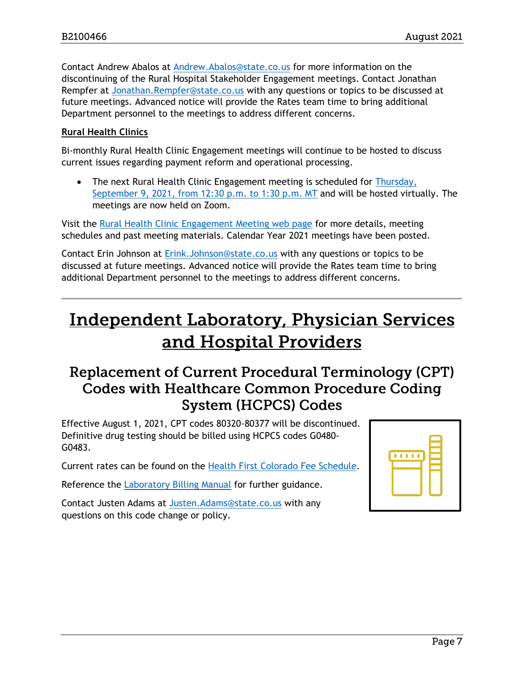Contact Andrew Abalos at [Andrew.Abalos@state.co.us](mailto:Andrew.Abalos@state.co.us) for more information on the discontinuing of the Rural Hospital Stakeholder Engagement meetings. Contact Jonathan Rempfer at [Jonathan.Rempfer@state.co.us](mailto:Jonathan.Rempfer@state.co.us) with any questions or topics to be discussed at future meetings. Advanced notice will provide the Rates team time to bring additional Department personnel to the meetings to address different concerns.

#### **Rural Health Clinics**

Bi-monthly Rural Health Clinic Engagement meetings will continue to be hosted to discuss current issues regarding payment reform and operational processing.

• The next Rural Health Clinic Engagement meeting is scheduled for Thursday, [September 9, 2021, from 12:30 p.m. to 1:30 p.m. MT](https://hcpf.colorado.gov/rural-hospital-and-rural-health-clinics) and will be hosted virtually. The meetings are now held on Zoom.

Visit the [Rural Health Clinic Engagement Meeting web page](https://hcpf.colorado.gov/rural-hospital-and-rural-health-clinics) for more details, meeting schedules and past meeting materials. Calendar Year 2021 meetings have been posted.

Contact Erin Johnson at [Erink.Johnson@state.co.us](mailto:Erink.Johnson@state.co.us) with any questions or topics to be discussed at future meetings. Advanced notice will provide the Rates team time to bring additional Department personnel to the meetings to address different concerns.

## **Independent Laboratory, Physician Services** and Hospital Providers

## **Replacement of Current Procedural Terminology (CPT) Codes with Healthcare Common Procedure Coding System (HCPCS) Codes**

Effective August 1, 2021, CPT codes 80320-80377 will be discontinued. Definitive drug testing should be billed using HCPCS codes G0480- G0483.

Current rates can be found on the [Health First Colorado Fee Schedule.](https://hcpf.colorado.gov/provider-rates-fee-schedule#MedicaidFeeSchedules)

Reference the [Laboratory Billing Manual](https://hcpf.colorado.gov/laboratory-billing#drugTest) for further guidance.

Contact Justen Adams at [Justen.Adams@state.co.us](mailto:Justen.Adams@state.co.us) with any questions on this code change or policy.

| <b>Contract Contract Contract Contract Contract Contract Contract Contract Contract Contract Contract Contract C</b> |  |  |
|----------------------------------------------------------------------------------------------------------------------|--|--|
|                                                                                                                      |  |  |
|                                                                                                                      |  |  |
|                                                                                                                      |  |  |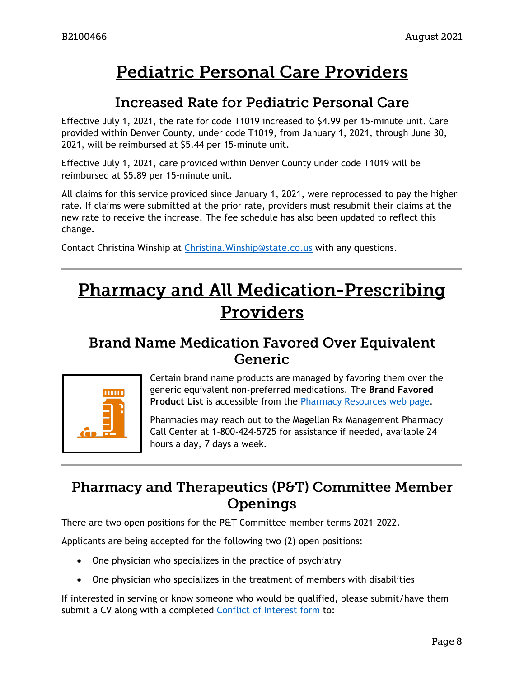## **Pediatric Personal Care Providers**

### **Increased Rate for Pediatric Personal Care**

Effective July 1, 2021, the rate for code T1019 increased to \$4.99 per 15-minute unit. Care provided within Denver County, under code T1019, from January 1, 2021, through June 30, 2021, will be reimbursed at \$5.44 per 15-minute unit.

Effective July 1, 2021, care provided within Denver County under code T1019 will be reimbursed at \$5.89 per 15-minute unit.

All claims for this service provided since January 1, 2021, were reprocessed to pay the higher rate. If claims were submitted at the prior rate, providers must resubmit their claims at the new rate to receive the increase. The fee schedule has also been updated to reflect this change.

Contact Christina Winship at Christina. Winship@state.co.us with any questions.

## **Pharmacy and All Medication-Prescribing Providers**

### **Brand Name Medication Favored Over Equivalent** Generic



Certain brand name products are managed by favoring them over the generic equivalent non-preferred medications. The **Brand Favored Product List** is accessible from the [Pharmacy Resources web page.](https://hcpf.colorado.gov/pharmacy-resources)

Pharmacies may reach out to the Magellan Rx Management Pharmacy Call Center at 1-800-424-5725 for assistance if needed, available 24 hours a day, 7 days a week.

## **Pharmacy and Therapeutics (P&T) Committee Member** Openings

There are two open positions for the P&T Committee member terms 2021-2022.

Applicants are being accepted for the following two (2) open positions:

- One physician who specializes in the practice of psychiatry
- One physician who specializes in the treatment of members with disabilities

If interested in serving or know someone who would be qualified, please submit/have them submit a CV along with a completed [Conflict of Interest form](https://hcpf.colorado.gov/sites/hcpf/files/PT%20Conflict%20of%20interest%20form%20Sept19.pdf) to: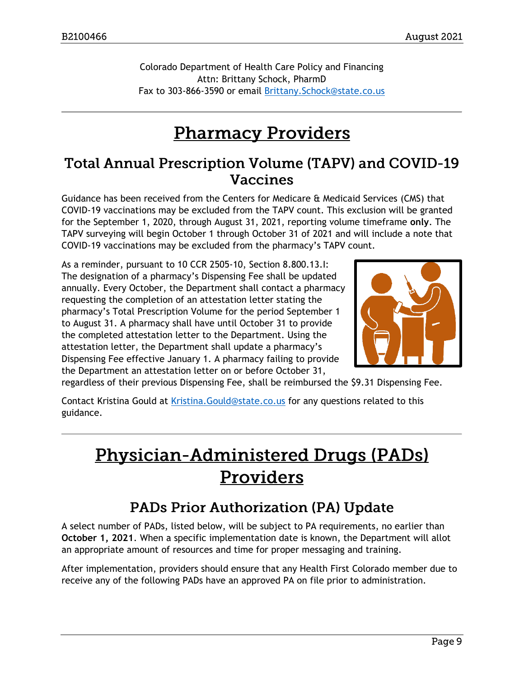Colorado Department of Health Care Policy and Financing Attn: Brittany Schock, PharmD Fax to 303-866-3590 or email [Brittany.Schock@state.co.us](mailto:Brittany.Schock@state.co.us)

## **Pharmacy Providers**

### Total Annual Prescription Volume (TAPV) and COVID-19 **Vaccines**

Guidance has been received from the Centers for Medicare & Medicaid Services (CMS) that COVID-19 vaccinations may be excluded from the TAPV count. This exclusion will be granted for the September 1, 2020, through August 31, 2021, reporting volume timeframe **only**. The TAPV surveying will begin October 1 through October 31 of 2021 and will include a note that COVID-19 vaccinations may be excluded from the pharmacy's TAPV count.

As a reminder, pursuant to 10 CCR 2505-10, Section 8.800.13.I: The designation of a pharmacy's Dispensing Fee shall be updated annually. Every October, the Department shall contact a pharmacy requesting the completion of an attestation letter stating the pharmacy's Total Prescription Volume for the period September 1 to August 31. A pharmacy shall have until October 31 to provide the completed attestation letter to the Department. Using the attestation letter, the Department shall update a pharmacy's Dispensing Fee effective January 1. A pharmacy failing to provide the Department an attestation letter on or before October 31,



regardless of their previous Dispensing Fee, shall be reimbursed the \$9.31 Dispensing Fee.

Contact Kristina Gould at [Kristina.Gould@state.co.us](mailto:Kristina.Gould@state.co.us) for any questions related to this guidance.

# **Physician-Administered Drugs (PADs)** Providers

## **PADs Prior Authorization (PA) Update**

A select number of PADs, listed below, will be subject to PA requirements, no earlier than **October 1, 2021**. When a specific implementation date is known, the Department will allot an appropriate amount of resources and time for proper messaging and training.

After implementation, providers should ensure that any Health First Colorado member due to receive any of the following PADs have an approved PA on file prior to administration.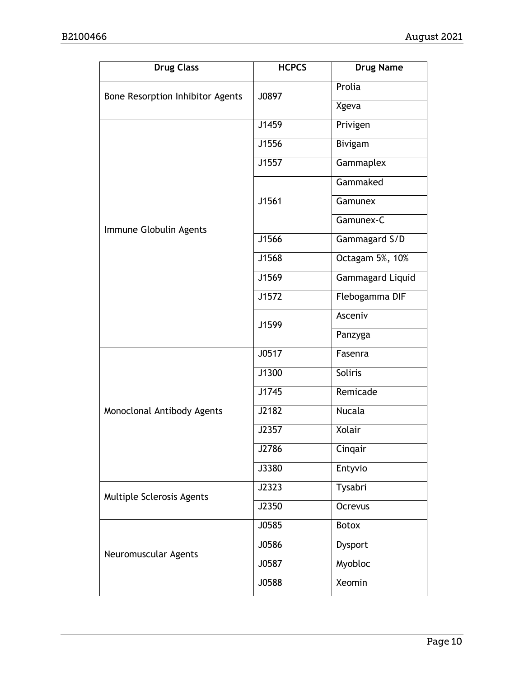| <b>Drug Class</b>                | <b>HCPCS</b> | <b>Drug Name</b> |
|----------------------------------|--------------|------------------|
| Bone Resorption Inhibitor Agents | J0897        | Prolia           |
|                                  |              | Xgeva            |
|                                  | J1459        | Privigen         |
|                                  | J1556        | Bivigam          |
|                                  | J1557        | Gammaplex        |
|                                  |              | Gammaked         |
|                                  | J1561        | Gamunex          |
| Immune Globulin Agents           |              | Gamunex-C        |
|                                  | J1566        | Gammagard S/D    |
|                                  | J1568        | Octagam 5%, 10%  |
|                                  | J1569        | Gammagard Liquid |
|                                  | J1572        | Flebogamma DIF   |
|                                  | J1599        | Asceniv          |
|                                  |              | Panzyga          |
|                                  | J0517        | Fasenra          |
|                                  | J1300        | <b>Soliris</b>   |
|                                  | J1745        | Remicade         |
| Monoclonal Antibody Agents       | J2182        | <b>Nucala</b>    |
|                                  | J2357        | Xolair           |
|                                  | J2786        | Cinqair          |
|                                  | J3380        | Entyvio          |
| Multiple Sclerosis Agents        | J2323        | Tysabri          |
|                                  | J2350        | Ocrevus          |
|                                  | J0585        | <b>Botox</b>     |
| Neuromuscular Agents             | J0586        | Dysport          |
|                                  | J0587        | Myobloc          |
|                                  | J0588        | <b>Xeomin</b>    |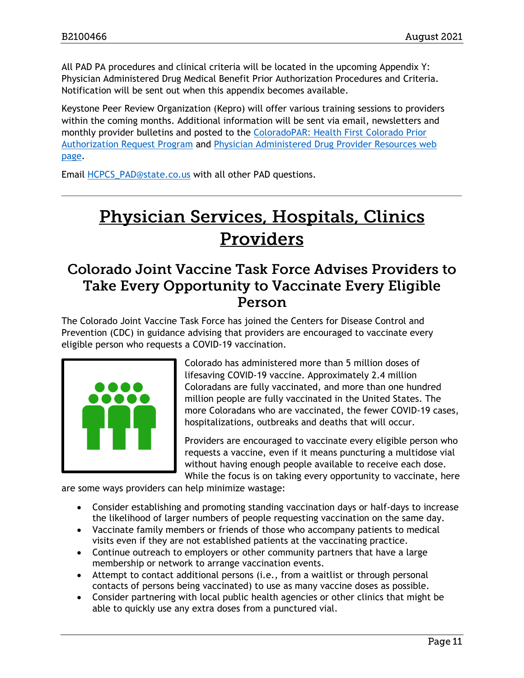All PAD PA procedures and clinical criteria will be located in the upcoming Appendix Y: Physician Administered Drug Medical Benefit Prior Authorization Procedures and Criteria. Notification will be sent out when this appendix becomes available.

Keystone Peer Review Organization (Kepro) will offer various training sessions to providers within the coming months. Additional information will be sent via email, newsletters and monthly provider bulletins and posted to the [ColoradoPAR: Health First Colorado Prior](https://hcpf.colorado.gov/par)  [Authorization Request Program](https://hcpf.colorado.gov/par) and [Physician Administered Drug Provider Resources web](https://hcpf.colorado.gov/physician-administered-drugs)  [page.](https://hcpf.colorado.gov/physician-administered-drugs)

Email [HCPCS\\_PAD@state.co.us](mailto:HCPCS_PAD@state.co.us) with all other PAD questions.

# **Physician Services, Hospitals, Clinics** Providers

### Colorado Joint Vaccine Task Force Advises Providers to Take Every Opportunity to Vaccinate Every Eligible Person

The Colorado Joint Vaccine Task Force has joined the Centers for Disease Control and Prevention (CDC) in guidance advising that providers are encouraged to vaccinate every eligible person who requests a COVID-19 vaccination.



Colorado has administered more than 5 million doses of lifesaving COVID-19 vaccine. Approximately 2.4 million Coloradans are fully vaccinated, and more than one hundred million people are fully vaccinated in the United States. The more Coloradans who are vaccinated, the fewer COVID-19 cases, hospitalizations, outbreaks and deaths that will occur.

Providers are encouraged to vaccinate every eligible person who requests a vaccine, even if it means puncturing a multidose vial without having enough people available to receive each dose. While the focus is on taking every opportunity to vaccinate, here

are some ways providers can help minimize wastage:

- Consider establishing and promoting standing vaccination days or half-days to increase the likelihood of larger numbers of people requesting vaccination on the same day.
- Vaccinate family members or friends of those who accompany patients to medical visits even if they are not established patients at the vaccinating practice.
- Continue outreach to employers or other community partners that have a large membership or network to arrange vaccination events.
- Attempt to contact additional persons (i.e., from a waitlist or through personal contacts of persons being vaccinated) to use as many vaccine doses as possible.
- Consider partnering with local public health agencies or other clinics that might be able to quickly use any extra doses from a punctured vial.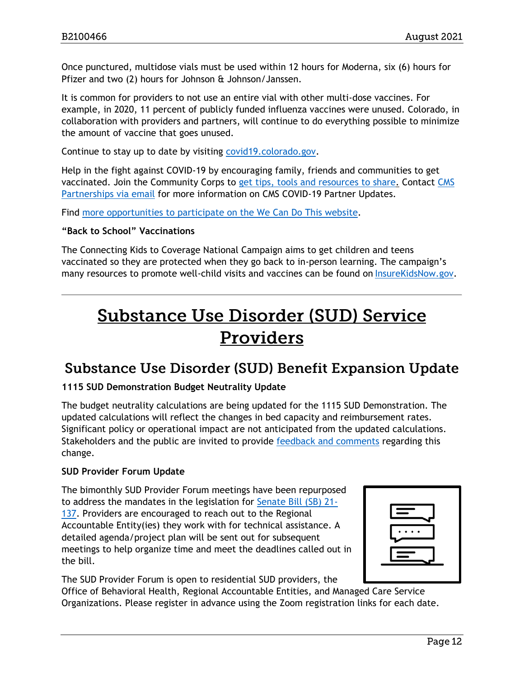Once punctured, multidose vials must be used within 12 hours for Moderna, six (6) hours for Pfizer and two (2) hours for Johnson & Johnson/Janssen.

It is common for providers to not use an entire vial with other multi-dose vaccines. For example, in 2020, 11 percent of publicly funded influenza vaccines were unused. Colorado, in collaboration with providers and partners, will continue to do everything possible to minimize the amount of vaccine that goes unused.

Continue to stay up to date by visiting [covid19.colorado.gov.](https://covid19.colorado.gov/)

Help in the fight against COVID-19 by encouraging family, friends and communities to get vaccinated. Join the Community Corps to [get tips, tools and resources to share.](https://wecandothis.hhs.gov/covidcommunitycorps) Contact [CMS](mailto:Partnership@cms.hhs.gov)  [Partnerships via email](mailto:Partnership@cms.hhs.gov) for more information on CMS COVID-19 Partner Updates.

Find [more opportunities to participate on the We Can Do This website.](https://www.mobilize.us/madetosave/)

#### **"Back to School" Vaccinations**

The Connecting Kids to Coverage National Campaign aims to get children and teens vaccinated so they are protected when they go back to in-person learning. The campaign's many resources to promote well-child visits and vaccines can be found on [InsureKidsNow.gov.](https://urldefense.proofpoint.com/v2/url?u=https-3A__lnks.gd_l_eyJhbGciOiJIUzI1NiJ9.eyJidWxsZXRpbl9saW5rX2lkIjoxMDQsInVyaSI6ImJwMjpjbGljayIsImJ1bGxldGluX2lkIjoiMjAyMTA2MDcuNDE1Njg3MDEiLCJ1cmwiOiJodHRwczovL2xua3MuZ2QvbC9leUpoYkdjaU9pSklVekkxTmlKOS5leUppZFd4c1pYUnBibDlzYVc1clgybGtJam94TURBc0luVnlhU0k2SW1Kd01qcGpiR2xqYXlJc0ltSjFiR3hsZEdsdVgybGtJam9pTWpBeU1UQTJNREl1TkRFek9EazBNVEVpTENKMWNtd2lPaUpvZEhSd2N6b3ZMM2QzZHk1cGJuTjFjbVZyYVdSemJtOTNMbWR2ZGk4aWZRLlRYcGM2VlpFN3pWekFYQ2gzUGltSU5qZVZBMDZZSmtCNVdnUFI4N2dLaGcvcy8xMDk3OTUzMjE3L2JyLzEwNzM0NjAwMTc0Mi1sIn0.N861XqnBILgpfuRBW6g1FBtSdcKp2P2-2Dc-5Fvklb8c5nI_s_142913841_br_107529194863-2Dl&d=DwMFAA&c=sdnEM9SRGFuMt5z5w3AhsPNahmNicq64TgF1JwNR0cs&r=XZd3kDKC5OTfklombc6bDQDZgJYoGpFzqzlHyqB6lmI&m=NdXjCsk22APo1qh3ME7Jc1ZVTZIyJ42ObWf4i14cUko&s=CqluE2nb5MVznlZxArmvbWldK7PcZB97yqq5Qq1DSvE&e=)

## **Substance Use Disorder (SUD) Service** Providers

### **Substance Use Disorder (SUD) Benefit Expansion Update**

#### **1115 SUD Demonstration Budget Neutrality Update**

The budget neutrality calculations are being updated for the 1115 SUD Demonstration. The updated calculations will reflect the changes in bed capacity and reimbursement rates. Significant policy or operational impact are not anticipated from the updated calculations. Stakeholders and the public are invited to provide [feedback and comments](https://hcpf.colorado.gov/for-our-stakeholders/committees-boards-and-collaboration/ensuring-a-full-continuum-of-sud-benefits) regarding this change.

#### **SUD Provider Forum Update**

The bimonthly SUD Provider Forum meetings have been repurposed to address the mandates in the legislation for [Senate Bill \(SB\) 21-](http://leg.colorado.gov/sites/default/files/2021a_137_signed.pdf) [137.](http://leg.colorado.gov/sites/default/files/2021a_137_signed.pdf) Providers are encouraged to reach out to the Regional Accountable Entity(ies) they work with for technical assistance. A detailed agenda/project plan will be sent out for subsequent meetings to help organize time and meet the deadlines called out in the bill.

The SUD Provider Forum is open to residential SUD providers, the

Office of Behavioral Health, Regional Accountable Entities, and Managed Care Service Organizations. Please register in advance using the Zoom registration links for each date.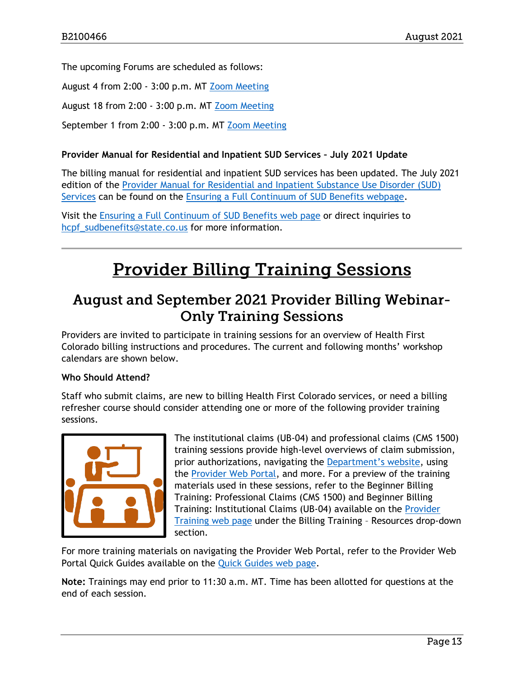The upcoming Forums are scheduled as follows:

August 4 from 2:00 - 3:00 p.m. MT [Zoom Meeting](https://zoom.us/meeting/register/tJYoc--hqDkrGtWzLuNtzQvbplOu_tDe58r4)

August 18 from 2:00 - 3:00 p.m. MT [Zoom Meeting](https://zoom.us/meeting/register/tJAlcO6opz4oGdZViS28outXD72IezeTd1q2)

September 1 from 2:00 - 3:00 p.m. MT [Zoom Meeting](https://zoom.us/meeting/register/tJwlc-mtrD0iE9M60g4BDpYfBgz0yWep1Z8C)

#### **Provider Manual for Residential and Inpatient SUD Services – July 2021 Update**

The billing manual for residential and inpatient SUD services has been updated. The July 2021 edition of the [Provider Manual for Residential and Inpatient Substance Use Disorder \(SUD\)](https://hcpf.colorado.gov/sites/hcpf/files/SUD%20Provider%20Manual%20for%20Residential%20and%20Inpatient%20SUD%20Services%20Updated%20July%202021.pdf)  [Services](https://hcpf.colorado.gov/sites/hcpf/files/SUD%20Provider%20Manual%20for%20Residential%20and%20Inpatient%20SUD%20Services%20Updated%20July%202021.pdf) can be found on the [Ensuring a Full Continuum of SUD Benefits webpage.](https://hcpf.colorado.gov/ensuring-full-continuum-sud-benefits)

Visit the [Ensuring a Full Continuum of SUD Benefits web page](https://hcpf.colorado.gov/ensuring-full-continuum-sud-benefits) or direct inquiries to [hcpf\\_sudbenefits@state.co.us](mailto:hcpf_sudbenefits@state.co.us) for more information.

# **Provider Billing Training Sessions**

## August and September 2021 Provider Billing Webinar-**Only Training Sessions**

Providers are invited to participate in training sessions for an overview of Health First Colorado billing instructions and procedures. The current and following months' workshop calendars are shown below.

#### **Who Should Attend?**

Staff who submit claims, are new to billing Health First Colorado services, or need a billing refresher course should consider attending one or more of the following provider training sessions.



The institutional claims (UB-04) and professional claims (CMS 1500) training sessions provide high-level overviews of claim submission, prior authorizations, navigating the [Department's website](https://www.colorado.gov/hcpf/), using the [Provider Web Portal,](https://colorado-hcp-portal.xco.dcs-usps.com/hcp/provider/Home/tabid/135/Default.aspx) and more. For a preview of the training materials used in these sessions, refer to the Beginner Billing Training: Professional Claims (CMS 1500) and Beginner Billing Training: Institutional Claims (UB-04) available on the [Provider](https://www.colorado.gov/pacific/hcpf/provider-training)  [Training web page](https://www.colorado.gov/pacific/hcpf/provider-training) under the Billing Training – Resources drop-down section.

For more training materials on navigating the Provider Web Portal, refer to the Provider Web Portal Quick Guides available on the [Quick Guides web page.](https://www.colorado.gov/hcpf/interchange-resources)

**Note:** Trainings may end prior to 11:30 a.m. MT. Time has been allotted for questions at the end of each session.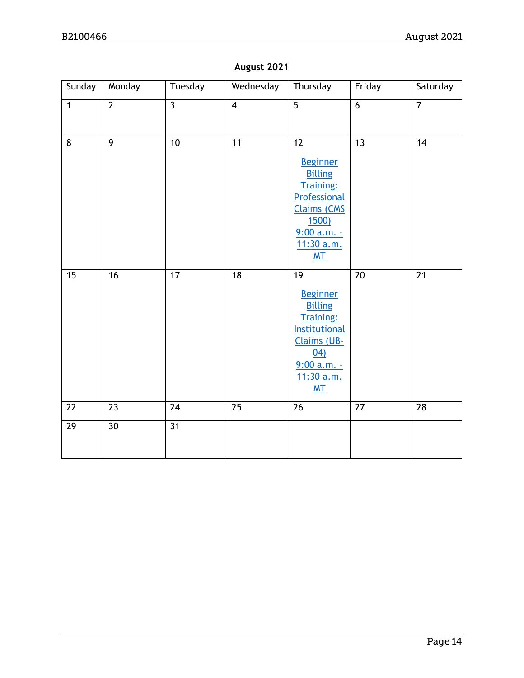| Sunday         | Monday         | Tuesday        | Wednesday       | Thursday                                                                                                                                                                   | Friday          | Saturday        |
|----------------|----------------|----------------|-----------------|----------------------------------------------------------------------------------------------------------------------------------------------------------------------------|-----------------|-----------------|
| $\overline{1}$ | $\overline{2}$ | $\overline{3}$ | $\overline{4}$  | $\overline{5}$                                                                                                                                                             | $\overline{6}$  | $\overline{7}$  |
| 8              | $\overline{9}$ | 10             | 11              | $\overline{12}$<br><b>Beginner</b><br><b>Billing</b><br><b>Training:</b><br>Professional<br><b>Claims (CMS</b><br><u>1500)</u><br>$9:00$ a.m. -<br>11:30 a.m.<br><b>MT</b> | $\overline{13}$ | 14              |
| 15             | 16             | 17             | 18              | 19<br><b>Beginner</b><br><b>Billing</b><br><b>Training:</b><br><b>Institutional</b><br>Claims (UB-<br>(04)<br>$9:00 a.m. -$<br>11:30 a.m.<br>M <sub>T</sub>                | 20              | 21              |
| 22             | 23             | 24             | $\overline{25}$ | $\overline{26}$                                                                                                                                                            | $\overline{27}$ | $\overline{28}$ |
| 29             | 30             | 31             |                 |                                                                                                                                                                            |                 |                 |

### **August 2021**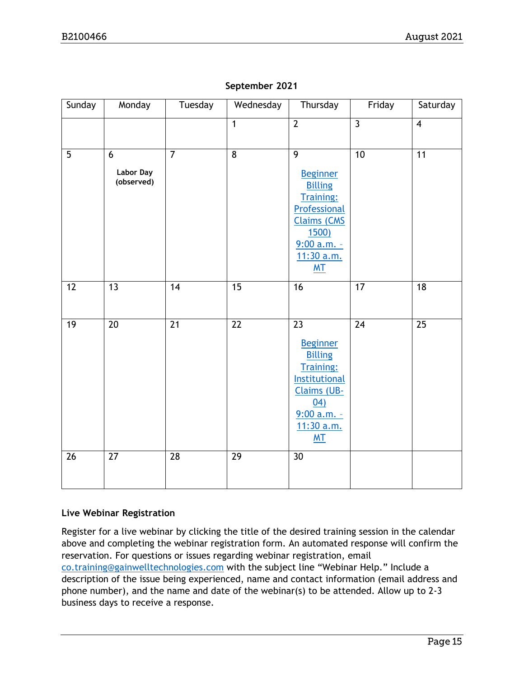| Sunday | Monday                                    | Tuesday         | Wednesday       | Thursday                                                                                                                                                          | Friday          | Saturday       |
|--------|-------------------------------------------|-----------------|-----------------|-------------------------------------------------------------------------------------------------------------------------------------------------------------------|-----------------|----------------|
|        |                                           |                 | $\mathbf{1}$    | $\overline{2}$                                                                                                                                                    | $\overline{3}$  | $\overline{4}$ |
| 5      | $6\phantom{1}$<br>Labor Day<br>(observed) | $\overline{7}$  | 8               | 9<br><b>Beginner</b><br><b>Billing</b><br><b>Training:</b><br>Professional<br><b>Claims (CMS</b><br><u>1500)</u><br>$9:00 a.m. -$<br>11:30 a.m.<br>M <sub>T</sub> | 10              | 11             |
| 12     | $\overline{13}$                           | 14              | $\overline{15}$ | $\overline{16}$                                                                                                                                                   | $\overline{17}$ | 18             |
| 19     | 20                                        | 21              | $\overline{22}$ | 23<br><b>Beginner</b><br><b>Billing</b><br><b>Training:</b><br><b>Institutional</b><br>Claims (UB-<br>04)<br>$9:00$ a.m. -<br>11:30 a.m.<br>M <sub>T</sub>        | 24              | 25             |
| 26     | $\overline{27}$                           | $\overline{28}$ | $\overline{29}$ | $\overline{30}$                                                                                                                                                   |                 |                |

### **September 2021**

### **Live Webinar Registration**

Register for a live webinar by clicking the title of the desired training session in the calendar above and completing the webinar registration form. An automated response will confirm the reservation. For questions or issues regarding webinar registration, email [co.training@gainwelltechnologies.com](mailto:co.training@gainwelltechnologies.com) with the subject line "Webinar Help." Include a description of the issue being experienced, name and contact information (email address and phone number), and the name and date of the webinar(s) to be attended. Allow up to 2-3 business days to receive a response.